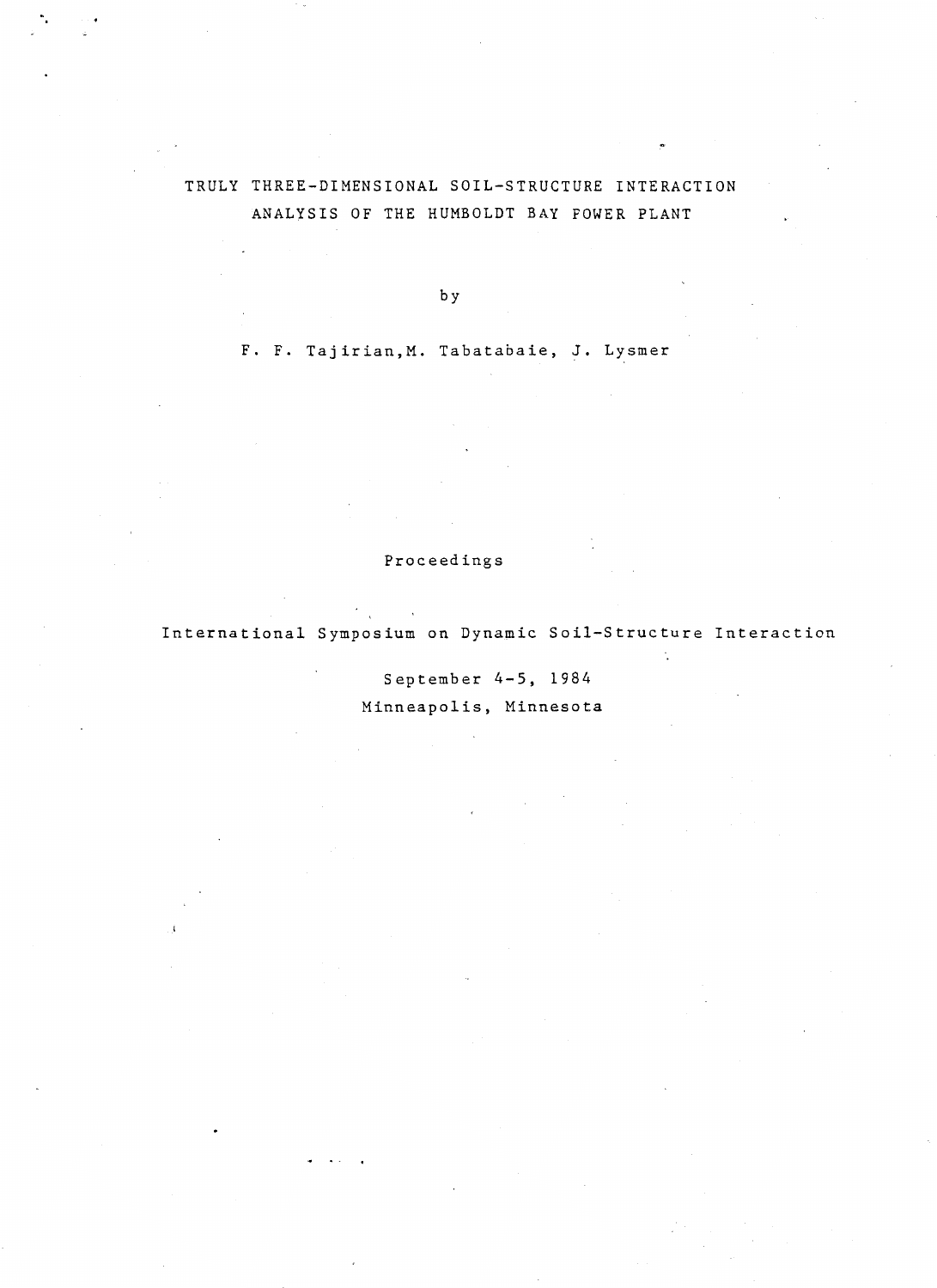# TRULY THREE-DIMENSIONAL SOIL-STRUCTURE INTERACTION ANALYSIS OF THE HUMBOLDT BAY POWER PLANT

by

F. F. Tajirian,M. Tabatabaie, J. Lysmer

Proceedings

International Symposium on Dynamic Soil-Structure Interaction

÷.

September 4-5, 1984 Minneapolis, Minnesota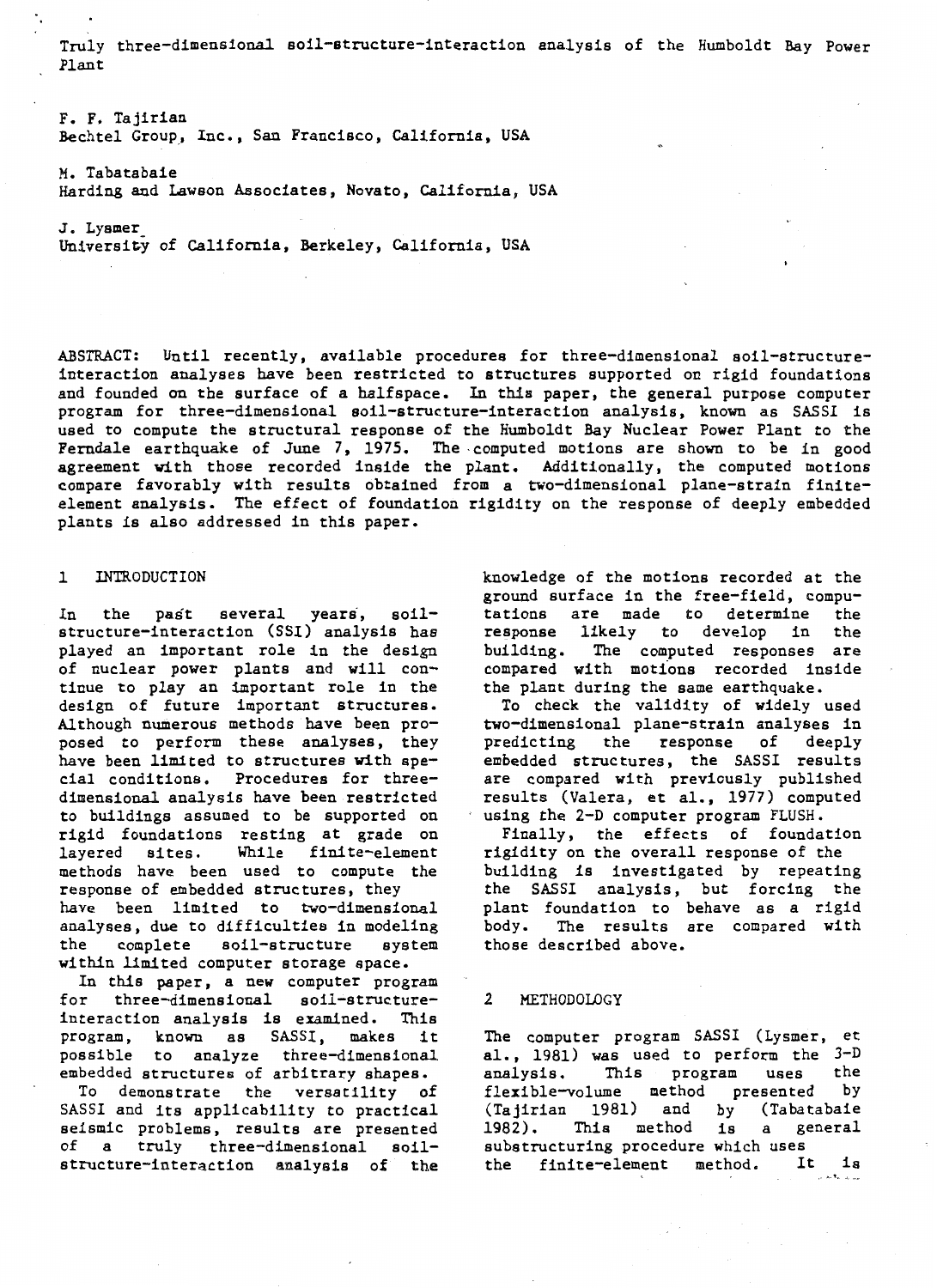Truly three-dimensional soil-structure-interaction analysis of the Humboldt Bay Power Plant

F. F. Tajirian Bechtel Group, Inc., San Francisco, California, USA

M. Tabatabaie Harding and Lawson Associates, Novato, California, USA

J. Lysmer University of California, Berkeley, California, USA

ABSTRACT: Until recently, available procedures for three-dimensional soil-structureinteraction analyses have been restricted to structures supported on rigid foundations and founded on the surface of a halfspace. In this paper, the general purpose computer program for three-dimensional soil-structure-interaction analysis, known as SASSI is used to compute the structural response of the Humboldt Bay Nuclear Power Plant to the Ferndale earthquake of June 7, 1975. The computed motions are shown to be in good agreement with those recorded inside the plant. Additionally, the computed motions compare favorably with results obtained from a two-dimensional plane-strain finiteelement analysis. The effect of foundation rigidity on the response of deeply embedded plants is also addressed in this paper.

## 1 INTRODUCTION

In the past several years, soilstructure-interaction (SSI) analysis has played an important role in the design of nuclear power plants and will continue to play an important role in the design of future important structures. Although numerous methods have been proposed to perform these analyses, they have been limited to structures with special conditions. Procedures for threedimensional analysis have been restricted to buildings assumed to be supported on rigid foundations resting at grade on While finite-element methods have been used to compute the response of embedded structures, they have been limited to two-dimensional analyses, due to difficulties in modeling the complete soil-structure system within limited computer storage space.

In this paper, a new computer program for three-dimensional soil-structureinteraction analysis is examined. This program, known as SASSI, makes it possible to analyze three-dimensional embedded structures of arbitrary shapes.

To demonstrate the versatility of SASSI and its applicability to practical seismic problems, results are presented of a truly three-dimensional soilstructure-interaction analysis of the knowledge of the motions recorded at the ground surface in the free-field, computa tiona are made to determine the response likely to develop in the building. The computed responses are compared with motfons recorded inside the plant during the same earthquake.

To check the validity of widely used two-dimensional plane-strain analyses in predicting the response of deeply embedded structures, the SASSI results are compared with previously published results (Valera, et al., 1977) computed using the 2-D computer program FLUSH.

Finally, the effects of foundation rigidity on the overall response of the building is investigated by repeating the SASSI analysis, but forcing the plant foundation to behave as a rigid body. The results are compared with those described above.

#### 2 METHODOLOGY

The computer program SASSI (Lysmer, et al., 1981) was used to perform the 3-D analysis. This program uses the flexible-volume method presented by (Tajirian 1981) and by (Tabatabaie 1982). This method is a general substructuring procedure which uses the finite-element method. It is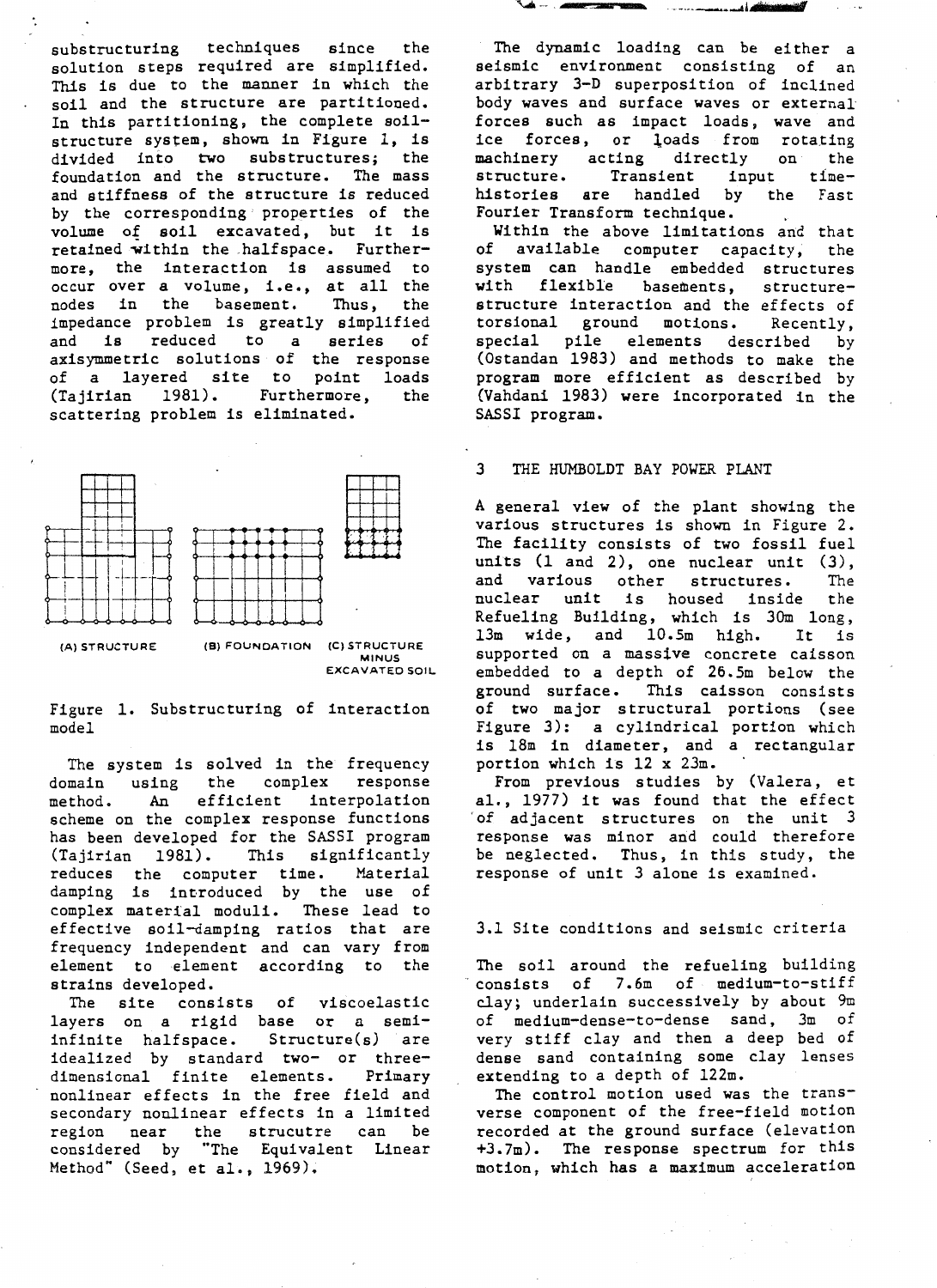substructuring techniques since the solution steps required are simplified. This is due to the manner in which the soil and the structure are partitioned. In this partitioning, the complete soilstructure system, shown in Figure 1, is divided into two substructures; the foundation and the structure. The mass and stiffness of the structure is reduced by the corresponding properties of the volume o; soil excavated, but it is retained within the halfspace. Furthermore, the interaction is assumed to occur over a volume, i.e., at all the nodes in the basement. Thus, the impedance problem is greatly simplified and is reduced to a series of axisymmetric solutions of the response of a layered site to point loads (Tajirian 1981). Furthermore, the scattering problem is eliminated.



EXCAVATED SOIL

Figure 1. Substructuring of interaction model

The system is solved in the frequency domain using the complex response<br>method. An efficient interpolation method. An efficient interpolation scheme on the complex response functions has been developed for the SASSI program (Tajirian 1981). This significantly reduces the computer time. Material damping is introduced by the use of complex material moduli. These lead to effective soil-damping ratios that are frequency independent and can vary from element to element according to the strains developed.

The site consists of viscoelastic layers on a rigid base or a semi-<br>infinite halfspace. Structure(s) are infinite halfspace. idealized by standard two- or threedimensional finite elements. Primary nonlinear effects in the free field and secondary nonlinear effects in a limited region near the strucutre can be considered by "The Equivalent Linear Method" (Seed, et al., 1969).

The dynamic loading can be either a seismic environment consisting of an arbitrary 3-D superposition of inclined body waves and surface waves or external forces such as impact loads, wave and ice forces, or loads from rotating<br>machinery acting directly on the machinery acting directly on the<br>structure. Transient input time-Transient input time-<br>handled by the Fast histories are handled Fourier Transform technique. .

*'\A---* -~-W--·

Within the above limitations and that<br>i available computer capacity, the of available computer capacity, system can handle embedded structures<br>with flexible basements, structurebasements, structure interaction and the effects of torsional ground motions. Recently,<br>special pile elements described by special pile elements described (Ostandan 1983) and methods to make the program more efficient as described by (Vahdani 1983) were incorporated in the SASSI program.

#### 3 THE HUMBOLDT BAY POWER PLANT

A general view of the plant showing the various structures is shown in Figure 2. The facility consists of two fossil fuel units (1 and 2), one nuclear unit (3), and various other structures. The<br>nuclear unit is housed inside the nuclear unit is housed inside Refueling Building, which is 30m long, 13m wide, and 10.5m high. It is supported on a massive concrete caisson embedded to a depth of 26. 5m below the ground surface. This caisson consists of two major structural portions (see Figure 3): a cylindrical portion which is 18m in diameter, and a rectangular portion which is 12 x 23m. ·

From previous studies by (Valera, et al., 1977) it was found that the effect 'of adjacent structures on the unit 3 response was minor and could therefore be neglected. Thus, in this study, the response of unit 3 alone is examined.

#### 3.1 Site conditions and seismic criteria

The soil around the refueling building consists of 7. 6m of medium-to-stiff clay; underlain successively by about 9m of medium-dense-to-dense sand, 3m of very stiff clay and then a deep bed of dense sand containing some clay lenses extending to a depth of 122m.

The control motion used was the transverse component of the free-field motion recorded at the ground surface (elevation +3. 7m). The response spectrum for this motion, which has a maximum acceleration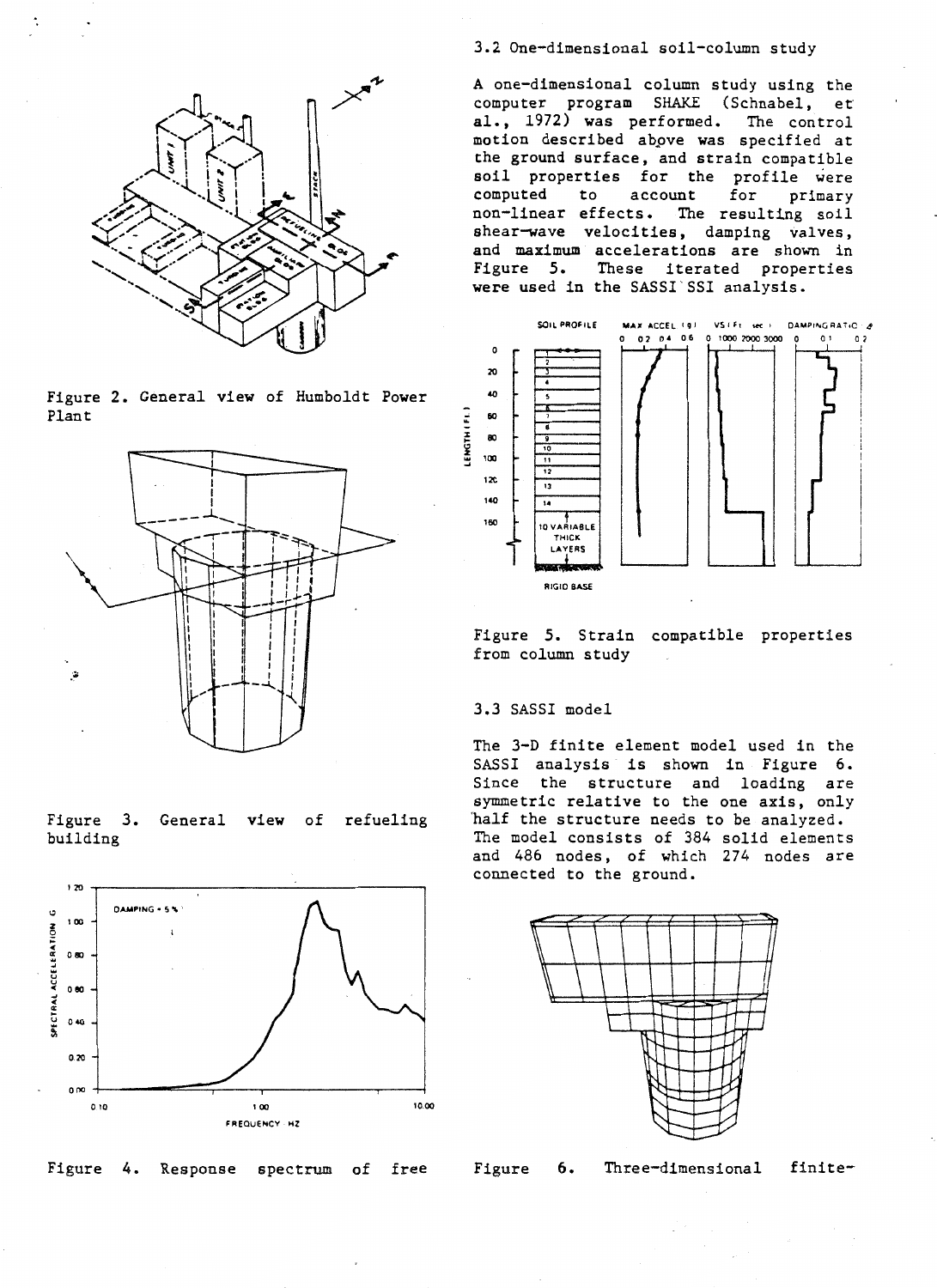

Figure 2. General view of Humboldt Power Plant



Figure 3. General view of refueling building



Figure 4. Response spectrum of free

3.2 One-dimensional soil-column study

A one-dimensional column study using the computer program SHAKE (Schnabel, et al., 1972) was performed. The control motion described above was specified at the ground surface, and strain compatible soil properties for the profile were computed to account for primary non-linear effects. The resulting soil shear-wave velocities, damping valves, and maximum accelerations are shown in Figure 5. These iterated properties were used in the SASSI SSI analysis.



Figure 5. Strain compatible properties from column study

## 3.3 SASSI model

The 3-D finite element model used in the SASSI analysis is shown in Figure 6. Since the structure and loading are symmetric relative to the one axis, only half the structure needs to be analyzed. The model consists of 384 solid elements and 486 nodes, of which 274 nodes are connected to the ground.



Three-dimensional Figure 6.

finite-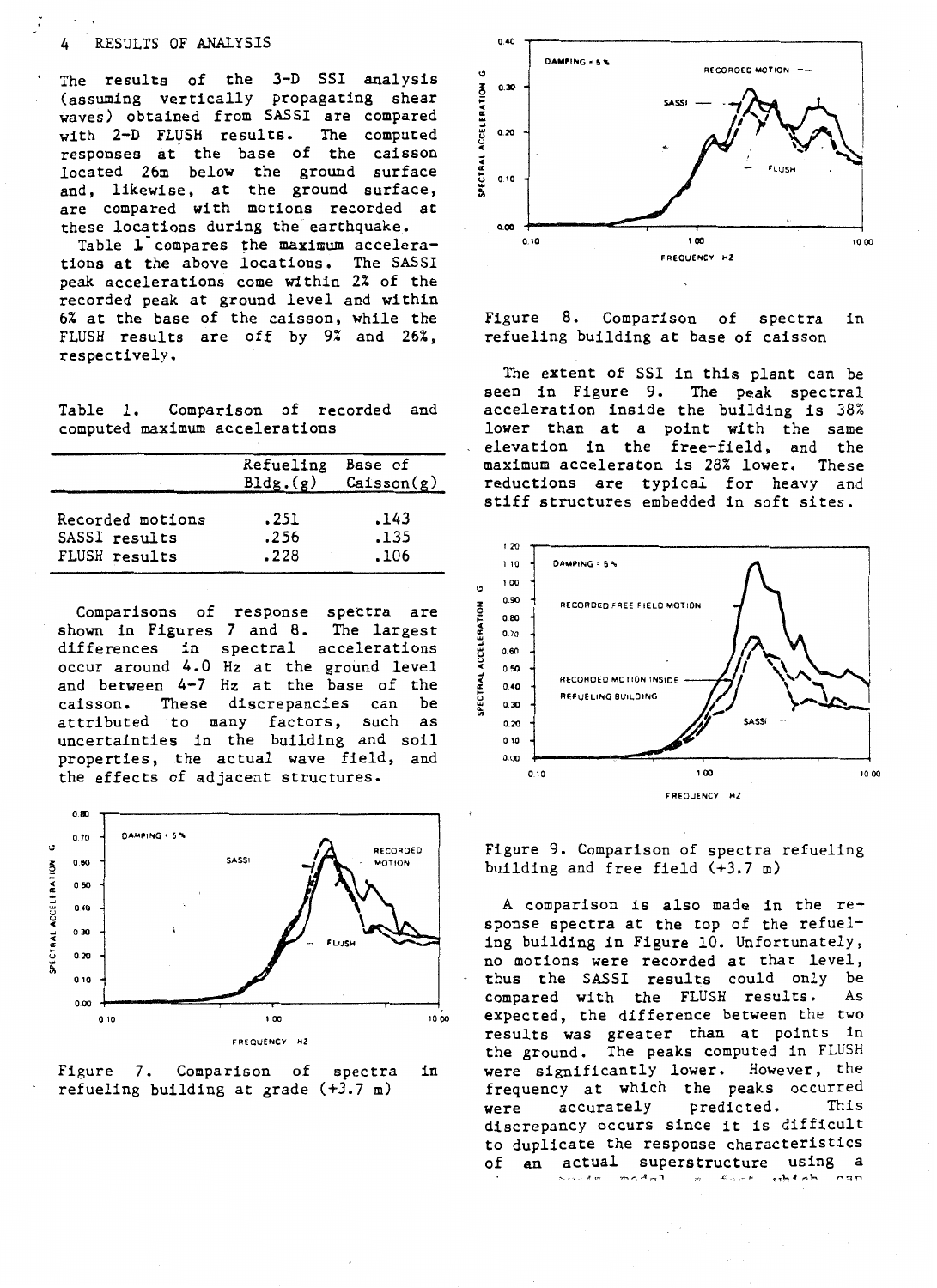# RESULTS OF ANALYSIS

The results of the 3-D SSI analysis (assuming vertically propagating shear waves) obtained from SASSI are compared with 2-D FLUSH results. The computed responses at the base of the caisson located 26m below the ground surface and, likewise, at the ground surface,<br>are compared with motions recorded at these locations during the earthquake.

Table 1 compares the maximum accelerations at the above locations. The SASSI peak accelerations come within 2% of the recorded peak at ground level and within 6% at the base of the caisson, while the FLUSH results are off by 9% and 26%, respectively.

Comparison of recorded and Table 1. computed maximum accelerations

|                  | Refueling<br>B1dg.(g) | Base of<br>Catsson(g) |
|------------------|-----------------------|-----------------------|
| Recorded motions | .251                  | .143                  |
| SASSI results    | .256                  | .135                  |
| FLUSH results    | .228                  | .106                  |

Comparisons of response spectra are shown in Figures 7 and 8. The largest differences in spectral accelerations occur around 4.0 Hz at the ground level and between 4-7 Hz at the base of the caisson. These discrepancies can be attributed to many factors, such as uncertainties in the building and soil properties, the actual wave field, and the effects of adjacent structures.



Figure 7. Comparison of spectra in refueling building at grade  $(+3.7 \text{ m})$ 



Figure 8. Comparison of spectra in refueling building at base of caisson

The extent of SSI in this plant can be seen in Figure 9. The peak spectral acceleration inside the building is 38% lower than at a point with the same elevation in the free-field, and the maximum acceleraton is 28% lower. These reductions are typical for heavy and stiff structures embedded in soft sites.



Figure 9. Comparison of spectra refueling building and free field  $(+3.7 \text{ m})$ 

A comparison is also made in the response spectra at the top of the refueling building in Figure 10. Unfortunately, no motions were recorded at that level, thus the SASSI results could only be compared with the FLUSH results. As expected, the difference between the two results was greater than at points in the ground. The peaks computed in FLUSH were significantly lower. However, the frequency at which the peaks occurred This accurately predicted. were discrepancy occurs since it is difficult to duplicate the response characteristics an actual superstructure using a of South made m Rock which can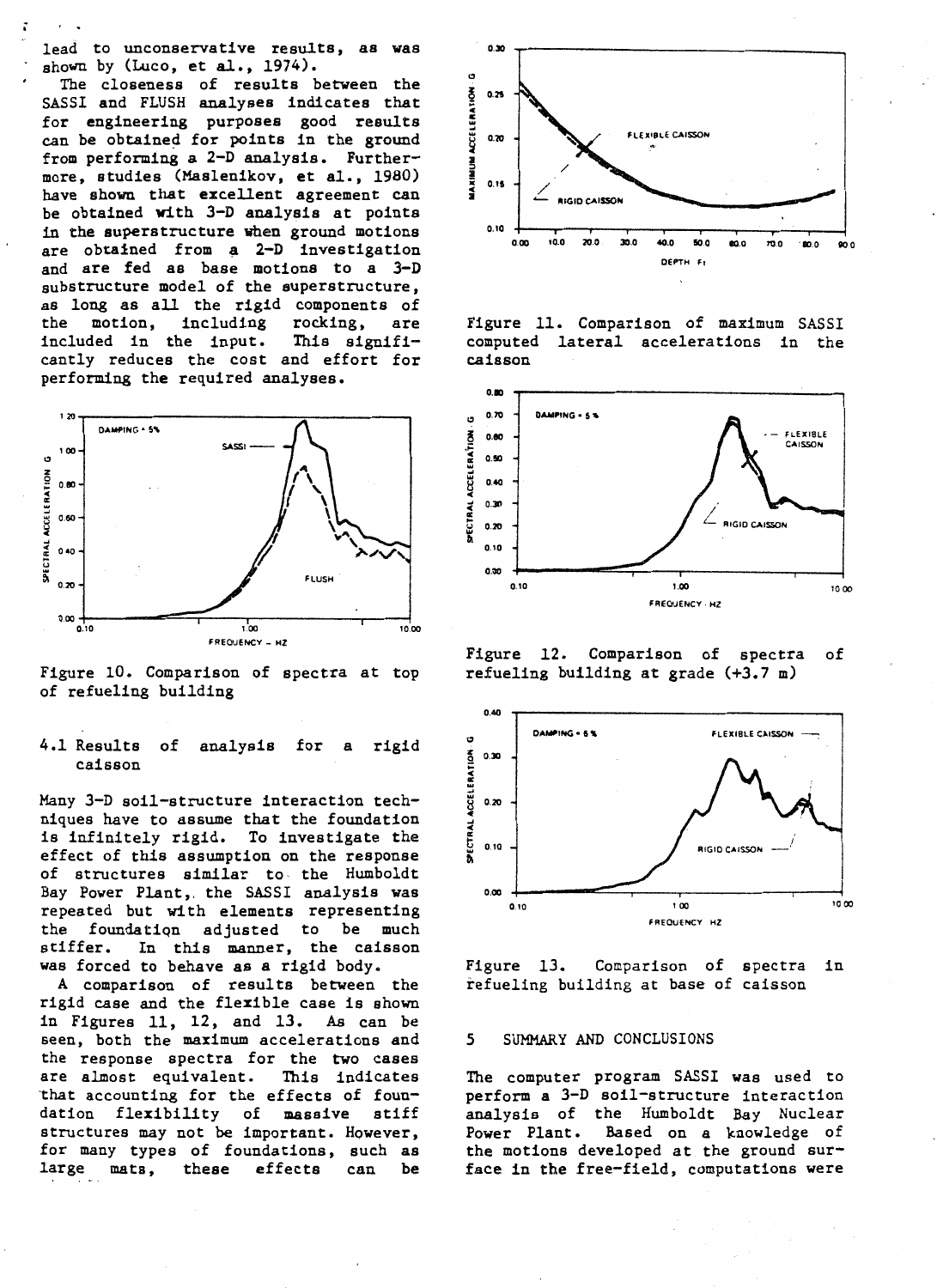lead to unconservative results, as was shown by (Luco, et al., 1974).

The closeness of results between the SASSI and FLUSH analyses indicates that for engineering purposes good results can be obtained for points in the ground from performing a 2-D analysis. Furthermore, studies (Maslenikov, et al., 1980) have shown that excellent agreement can be obtained with 3-D analysis at points in the superstructure when ground motions are obtained from  $a$  2-D investigation and are fed as base motions to a 3-D substructure model of the superstructure, as long as all the rigid components of<br>the motion, including rocking, are including rocking, are<br>ne input. This signifiincluded in the input. cantly reduces the cost and effort for performing the required analyses.



Figure 10. Comparison of spectra at top of refueling building

## 4.1 Results of analysis for a rigid caisson

Many 3-D soil-structure interaction techniques have to assume that the foundation is infinitely rigid. To investigate the effect of this assumption on the response of structures similar to the Humboldt Bay Power Plant,. the SASSI analysis was repeated but with elements representing the foundation adjusted to be much<br>stiffer. In this manner, the caisson In this manner, the caisson was forced to behave as a rigid body.

A comparison of results between the rigid case and the flexible case is shown in Figures 11, 12, and 13. As can be seen, both the maximum accelerations and the response spectra for the two cases are almost equivalent. This indicates that accounting for the effects of foun-<br>dation flexibility of massive stiff dation flexibility of structures may not be important. However, for many types of foundations, such as large mats, these effects can be



Figure 11. Comparison of maximum SASSI computed lateral accelerations in the caisson



Figure 12. Comparison of spectra of refueling building at grade (+3.7 m)



Figure 13. Comparison of spectra in refueling building at base of caisson

#### *5* SUMMARY AND CONCLUSIONS

The computer program SASSI was used to perform a 3-D soil-structure interaction analysis of the Humboldt Bay Nuclear Power Plant. Based on a knowledge of the motions developed at the ground surface in the free-field, computations were